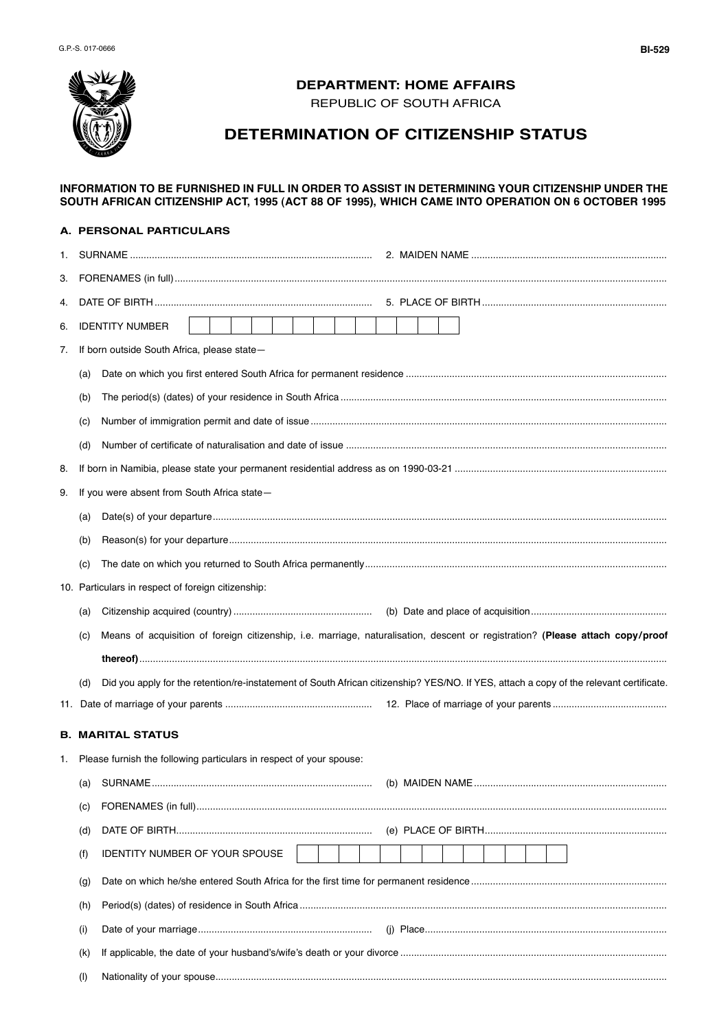

## **DEPARTMENT: HOME AFFAIRS**

REPUBLIC OF SOUTH AFRICA

# **DETERMINATION OF CITIZENSHIP STATUS**

#### **INFORMATION TO BE FURNISHED IN FULL IN ORDER TO ASSIST IN DETERMINING YOUR CITIZENSHIP UNDER THE SOUTH AFRICAN CITIZENSHIP ACT, 1995 (ACT 88 OF 1995), WHICH CAME INTO OPERATION ON 6 OCTOBER 1995**

#### **A. PERSONAL PARTICULARS**

| 1. |                                                    |                                                                                                                                         |  |  |  |
|----|----------------------------------------------------|-----------------------------------------------------------------------------------------------------------------------------------------|--|--|--|
| З. |                                                    |                                                                                                                                         |  |  |  |
| 4. |                                                    |                                                                                                                                         |  |  |  |
| 6. |                                                    | <b>IDENTITY NUMBER</b>                                                                                                                  |  |  |  |
| 7. | If born outside South Africa, please state-        |                                                                                                                                         |  |  |  |
|    | (a)                                                |                                                                                                                                         |  |  |  |
|    | (b)                                                |                                                                                                                                         |  |  |  |
|    | (C)                                                |                                                                                                                                         |  |  |  |
|    | (d)                                                |                                                                                                                                         |  |  |  |
| 8. |                                                    |                                                                                                                                         |  |  |  |
| 9. | If you were absent from South Africa state-        |                                                                                                                                         |  |  |  |
|    |                                                    |                                                                                                                                         |  |  |  |
|    | (b)                                                |                                                                                                                                         |  |  |  |
|    |                                                    |                                                                                                                                         |  |  |  |
|    | 10. Particulars in respect of foreign citizenship: |                                                                                                                                         |  |  |  |
|    |                                                    |                                                                                                                                         |  |  |  |
|    | (a)                                                |                                                                                                                                         |  |  |  |
|    | (C)                                                | Means of acquisition of foreign citizenship, i.e. marriage, naturalisation, descent or registration? (Please attach copy/proof          |  |  |  |
|    |                                                    |                                                                                                                                         |  |  |  |
|    | (d)                                                | Did you apply for the retention/re-instatement of South African citizenship? YES/NO. If YES, attach a copy of the relevant certificate. |  |  |  |
|    |                                                    |                                                                                                                                         |  |  |  |
|    |                                                    | <b>B. MARITAL STATUS</b>                                                                                                                |  |  |  |
| 1. |                                                    | Please furnish the following particulars in respect of your spouse:                                                                     |  |  |  |
|    |                                                    |                                                                                                                                         |  |  |  |
|    | (C)                                                |                                                                                                                                         |  |  |  |
|    | (d)                                                |                                                                                                                                         |  |  |  |
|    | (f)                                                | IDENTITY NUMBER OF YOUR SPOUSE                                                                                                          |  |  |  |
|    | (g)                                                |                                                                                                                                         |  |  |  |
|    | (h)                                                |                                                                                                                                         |  |  |  |
|    | (i)                                                |                                                                                                                                         |  |  |  |
|    | (K)                                                |                                                                                                                                         |  |  |  |